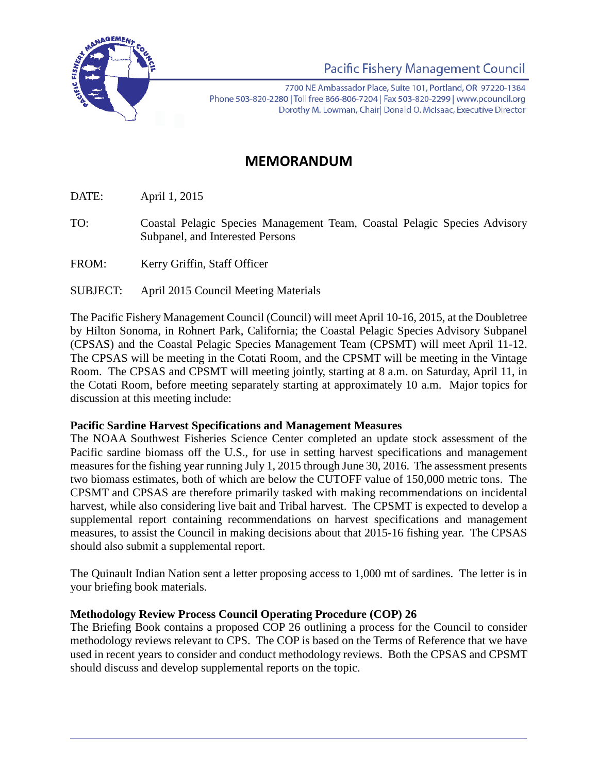

**Pacific Fishery Management Council** 

7700 NE Ambassador Place, Suite 101, Portland, OR 97220-1384 Phone 503-820-2280 | Toll free 866-806-7204 | Fax 503-820-2299 | www.pcouncil.org Dorothy M. Lowman, Chairl Donald O. McIsaac, Executive Director

## **MEMORANDUM**

DATE: April 1, 2015

- TO: Coastal Pelagic Species Management Team, Coastal Pelagic Species Advisory Subpanel, and Interested Persons
- FROM: Kerry Griffin, Staff Officer
- SUBJECT: April 2015 Council Meeting Materials

The Pacific Fishery Management Council (Council) will meet April 10-16, 2015, at the Doubletree by Hilton Sonoma, in Rohnert Park, California; the Coastal Pelagic Species Advisory Subpanel (CPSAS) and the Coastal Pelagic Species Management Team (CPSMT) will meet April 11-12. The CPSAS will be meeting in the Cotati Room, and the CPSMT will be meeting in the Vintage Room. The CPSAS and CPSMT will meeting jointly, starting at 8 a.m. on Saturday, April 11, in the Cotati Room, before meeting separately starting at approximately 10 a.m. Major topics for discussion at this meeting include:

## **Pacific Sardine Harvest Specifications and Management Measures**

The NOAA Southwest Fisheries Science Center completed an update stock assessment of the Pacific sardine biomass off the U.S., for use in setting harvest specifications and management measures for the fishing year running July 1, 2015 through June 30, 2016. The assessment presents two biomass estimates, both of which are below the CUTOFF value of 150,000 metric tons. The CPSMT and CPSAS are therefore primarily tasked with making recommendations on incidental harvest, while also considering live bait and Tribal harvest. The CPSMT is expected to develop a supplemental report containing recommendations on harvest specifications and management measures, to assist the Council in making decisions about that 2015-16 fishing year. The CPSAS should also submit a supplemental report.

The Quinault Indian Nation sent a letter proposing access to 1,000 mt of sardines. The letter is in your briefing book materials.

## **Methodology Review Process Council Operating Procedure (COP) 26**

The Briefing Book contains a proposed COP 26 outlining a process for the Council to consider methodology reviews relevant to CPS. The COP is based on the Terms of Reference that we have used in recent years to consider and conduct methodology reviews. Both the CPSAS and CPSMT should discuss and develop supplemental reports on the topic.